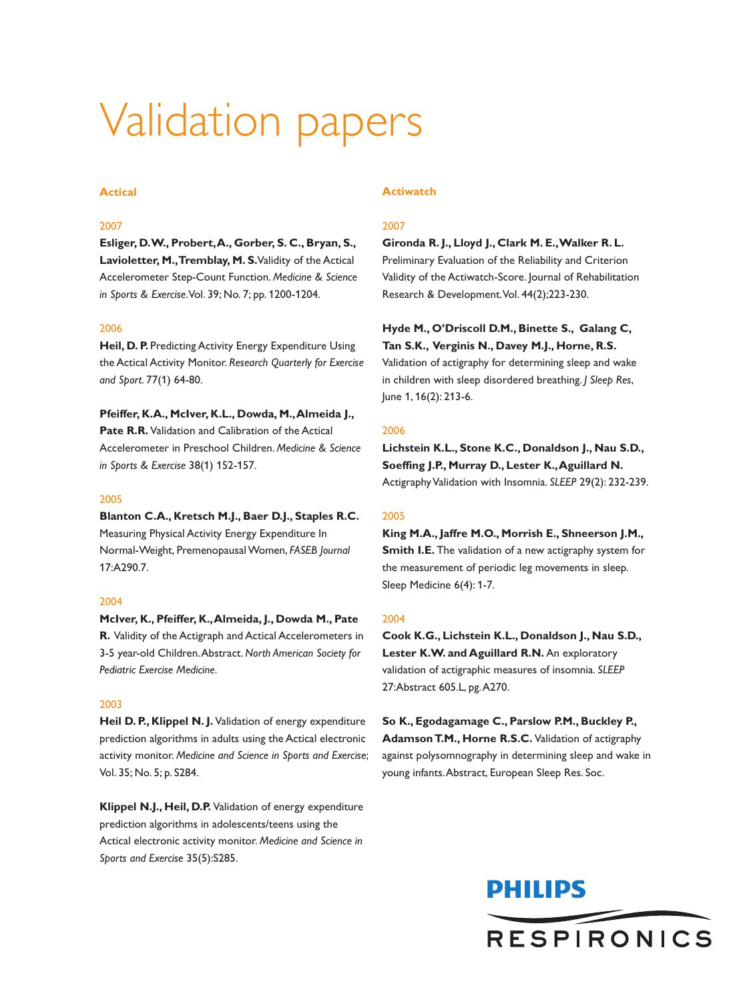# Validation papers

# **Actical**

# 2007

**Esliger, D.W., Probert,A., Gorber, S. C., Bryan, S., Lavioletter, M.,Tremblay, M. S.**Validity of the Actical Accelerometer Step-Count Function. *Medicine & Science in Sports & Exercise*.Vol. 39; No. 7; pp. 1200-1204.

## 2006

**Heil, D. P.** Predicting Activity Energy Expenditure Using the Actical Activity Monitor. *Research Quarterly for Exercise and Sport*. 77(1) 64-80.

**Pfeiffer, K.A., McIver, K.L., Dowda, M.,Almeida J., Pate R.R.** Validation and Calibration of the Actical Accelerometer in Preschool Children. *Medicine & Science in Sports & Exercise* 38(1) 152-157.

## 2005

**Blanton C.A., Kretsch M.J., Baer D.J., Staples R.C.** Measuring Physical Activity Energy Expenditure In Normal-Weight, PremenopausalWomen, *FASEB Journal* 17:A290.7.

# 2004

**McIver, K., Pfeiffer, K.,Almeida, J., Dowda M., Pate R.** Validity of the Actigraph and Actical Accelerometers in 3-5 year-old Children.Abstract. *North American Society for Pediatric Exercise Medicine.*

#### 2003

**Heil D. P., Klippel N. J.** Validation of energy expenditure prediction algorithms in adults using the Actical electronic activity monitor. *Medicine and Science in Sports and Exercise*; Vol. 35; No. 5; p. S284.

**Klippel N.J., Heil, D.P.** Validation of energy expenditure prediction algorithms in adolescents/teens using the Actical electronic activity monitor. *Medicine and Science in Sports and Exercise* 35(5):S285.

#### **Actiwatch**

# 2007

**Gironda R. J., Lloyd J., Clark M. E.,Walker R. L.** Preliminary Evaluation of the Reliability and Criterion Validity of the Actiwatch-Score. Journal of Rehabilitation Research & Development.Vol. 44(2);223-230.

**Hyde M., O'Driscoll D.M., Binette S., Galang C, Tan S.K., Verginis N., Davey M.J., Horne, R.S.** Validation of actigraphy for determining sleep and wake in children with sleep disordered breathing. *J Sleep Res*, June 1, 16(2): 213-6.

#### 2006

**Lichstein K.L., Stone K.C., Donaldson J., Nau S.D., Soeffing J.P., Murray D., Lester K.,Aguillard N.** ActigraphyValidation with Insomnia. *SLEEP* 29(2): 232-239.

# 2005

**King M.A., Jaffre M.O., Morrish E., Shneerson J.M., Smith I.E.** The validation of a new actigraphy system for the measurement of periodic leg movements in sleep. Sleep Medicine 6(4): 1-7.

### 2004

**Cook K.G., Lichstein K.L., Donaldson J., Nau S.D., Lester K.W. and Aguillard R.N.** An exploratory validation of actigraphic measures of insomnia. *SLEEP* 27:Abstract 605.L, pg.A270.

**So K., Egodagamage C., Parslow P.M., Buckley P., AdamsonT.M., Horne R.S.C.** Validation of actigraphy against polysomnography in determining sleep and wake in young infants.Abstract, European Sleep Res. Soc.